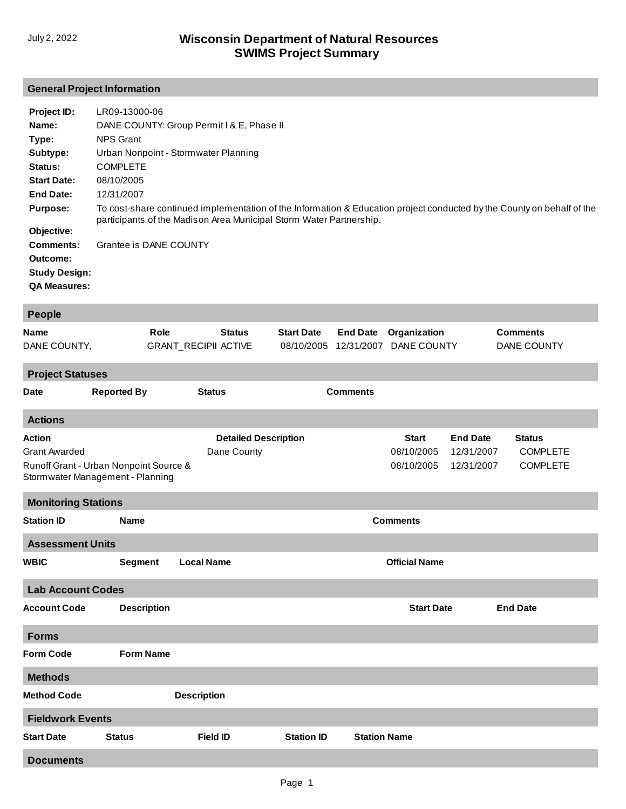## **General Project Information**

| Project ID:          | LR09-13000-06                                                                                                                                                                                 |
|----------------------|-----------------------------------------------------------------------------------------------------------------------------------------------------------------------------------------------|
| Name:                | DANE COUNTY: Group Permit I & E, Phase II                                                                                                                                                     |
| Type:                | <b>NPS Grant</b>                                                                                                                                                                              |
| Subtype:             | Urban Nonpoint - Stormwater Planning                                                                                                                                                          |
| Status:              | <b>COMPLETE</b>                                                                                                                                                                               |
| <b>Start Date:</b>   | 08/10/2005                                                                                                                                                                                    |
| <b>End Date:</b>     | 12/31/2007                                                                                                                                                                                    |
| <b>Purpose:</b>      | To cost-share continued implementation of the Information & Education project conducted by the County on behalf of the<br>participants of the Madison Area Municipal Storm Water Partnership. |
| Objective:           |                                                                                                                                                                                               |
| <b>Comments:</b>     | Grantee is DANE COUNTY                                                                                                                                                                        |
| Outcome:             |                                                                                                                                                                                               |
| <b>Study Design:</b> |                                                                                                                                                                                               |
| <b>QA Measures:</b>  |                                                                                                                                                                                               |
|                      |                                                                                                                                                                                               |

| <b>People</b>                                                                                                       |                    |                                              |                                            |                     |                                          |                                             |                                                     |  |  |  |  |  |
|---------------------------------------------------------------------------------------------------------------------|--------------------|----------------------------------------------|--------------------------------------------|---------------------|------------------------------------------|---------------------------------------------|-----------------------------------------------------|--|--|--|--|--|
| <b>Name</b><br>DANE COUNTY,                                                                                         | Role               | <b>Status</b><br><b>GRANT_RECIPII ACTIVE</b> | <b>Start Date</b><br>08/10/2005 12/31/2007 | <b>End Date</b>     | Organization<br>DANE COUNTY              |                                             | <b>Comments</b><br><b>DANE COUNTY</b>               |  |  |  |  |  |
| <b>Project Statuses</b>                                                                                             |                    |                                              |                                            |                     |                                          |                                             |                                                     |  |  |  |  |  |
| Date                                                                                                                | <b>Reported By</b> | <b>Status</b>                                |                                            | <b>Comments</b>     |                                          |                                             |                                                     |  |  |  |  |  |
| <b>Actions</b>                                                                                                      |                    |                                              |                                            |                     |                                          |                                             |                                                     |  |  |  |  |  |
| <b>Action</b><br><b>Grant Awarded</b><br>Runoff Grant - Urban Nonpoint Source &<br>Stormwater Management - Planning |                    | <b>Detailed Description</b><br>Dane County   |                                            |                     | <b>Start</b><br>08/10/2005<br>08/10/2005 | <b>End Date</b><br>12/31/2007<br>12/31/2007 | <b>Status</b><br><b>COMPLETE</b><br><b>COMPLETE</b> |  |  |  |  |  |
| <b>Monitoring Stations</b>                                                                                          |                    |                                              |                                            |                     |                                          |                                             |                                                     |  |  |  |  |  |
| <b>Station ID</b>                                                                                                   | <b>Name</b>        | <b>Comments</b>                              |                                            |                     |                                          |                                             |                                                     |  |  |  |  |  |
| <b>Assessment Units</b>                                                                                             |                    |                                              |                                            |                     |                                          |                                             |                                                     |  |  |  |  |  |
| <b>WBIC</b>                                                                                                         | <b>Segment</b>     | <b>Local Name</b>                            |                                            |                     | <b>Official Name</b>                     |                                             |                                                     |  |  |  |  |  |
| <b>Lab Account Codes</b>                                                                                            |                    |                                              |                                            |                     |                                          |                                             |                                                     |  |  |  |  |  |
| <b>Account Code</b>                                                                                                 | <b>Description</b> |                                              |                                            |                     | <b>Start Date</b>                        |                                             | <b>End Date</b>                                     |  |  |  |  |  |
| <b>Forms</b>                                                                                                        |                    |                                              |                                            |                     |                                          |                                             |                                                     |  |  |  |  |  |
| <b>Form Code</b>                                                                                                    | <b>Form Name</b>   |                                              |                                            |                     |                                          |                                             |                                                     |  |  |  |  |  |
| <b>Methods</b>                                                                                                      |                    |                                              |                                            |                     |                                          |                                             |                                                     |  |  |  |  |  |
| <b>Method Code</b>                                                                                                  |                    | <b>Description</b>                           |                                            |                     |                                          |                                             |                                                     |  |  |  |  |  |
| <b>Fieldwork Events</b>                                                                                             |                    |                                              |                                            |                     |                                          |                                             |                                                     |  |  |  |  |  |
| <b>Start Date</b>                                                                                                   | <b>Status</b>      | <b>Field ID</b>                              | <b>Station ID</b>                          | <b>Station Name</b> |                                          |                                             |                                                     |  |  |  |  |  |
| <b>Documents</b>                                                                                                    |                    |                                              |                                            |                     |                                          |                                             |                                                     |  |  |  |  |  |